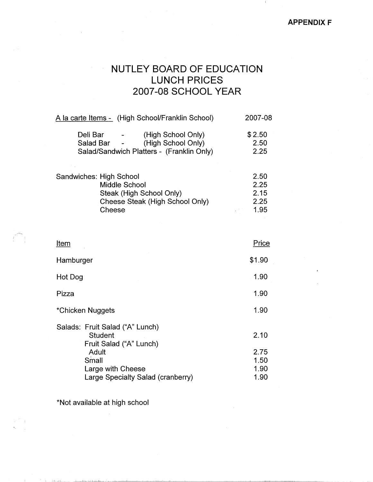$\mathbf{1}$ 

## **NUTLEY BOARD OF EDUCATION LUNCH PRICES 2007-08 SCHOOL YEAR**

| A la carte Items - (High School/Franklin School)                                                                                                            | 2007-08                |  |
|-------------------------------------------------------------------------------------------------------------------------------------------------------------|------------------------|--|
| (High School Only)<br>Deli Bar<br>$\mathcal{L}^{\text{max}}_{\text{max}}$<br>(High School Only)<br>Salad Bar -<br>Salad/Sandwich Platters - (Franklin Only) | \$2.50<br>2.50<br>2.25 |  |
| Sandwiches: High School<br>Middle School<br>Steak (High School Only)                                                                                        | 2.50<br>2.25<br>2 15   |  |

| Steak (High School Only)        | 2.15 |
|---------------------------------|------|
| Cheese Steak (High School Only) | 2.25 |
| Cheese                          | 1.95 |

| \$1.90                       |
|------------------------------|
| 1.90                         |
| 1.90                         |
| 1.90                         |
| 2.10                         |
| 2.75<br>1.50<br>1.90<br>1.90 |
|                              |

\*Not available at high school

 $14.61\pm131\ldots$  .

 $\bar{\beta}$ 

... --'-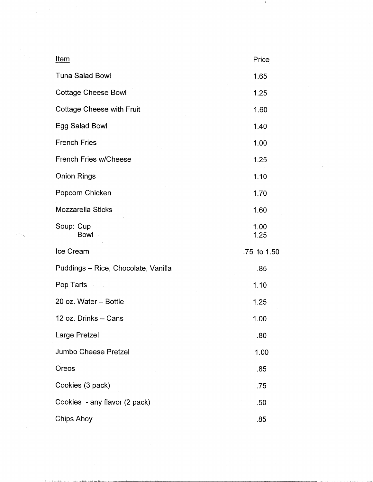| <u>Item</u>                         | Price        |
|-------------------------------------|--------------|
| <b>Tuna Salad Bowl</b>              | 1.65         |
| <b>Cottage Cheese Bowl</b>          | 1.25         |
| <b>Cottage Cheese with Fruit</b>    | 1.60         |
| Egg Salad Bowl                      | 1.40         |
| <b>French Fries</b>                 | 1.00         |
| <b>French Fries w/Cheese</b>        | 1.25         |
| <b>Onion Rings</b>                  | 1.10         |
| Popcorn Chicken                     | 1.70         |
| <b>Mozzarella Sticks</b>            | 1.60         |
| Soup: Cup<br><b>Bowl</b>            | 1.00<br>1.25 |
| Ice Cream                           | .75 to 1.50  |
| Puddings - Rice, Chocolate, Vanilla | .85          |
| Pop Tarts                           | 1.10         |
| 20 oz. Water - Bottle               | 1.25         |
| 12 oz. Drinks - Cans                | 1.00         |
| Large Pretzel                       | .80          |
| <b>Jumbo Cheese Pretzel</b>         | 1.00         |
| Oreos                               | .85          |
| Cookies (3 pack)                    | .75          |
| Cookies - any flavor (2 pack)       | .50          |
| Chips Ahoy                          | .85          |

 $\mathcal{O}(\mathcal{A}^{\mathcal{A}})$  and  $\mathcal{O}(\mathcal{A}^{\mathcal{A}})$ 

 $\label{eq:2.1} \frac{1}{\sqrt{2}}\int_{\mathbb{R}^3}\frac{1}{\sqrt{2}}\left(\frac{1}{\sqrt{2}}\right)^2\frac{1}{\sqrt{2}}\left(\frac{1}{\sqrt{2}}\right)^2\frac{1}{\sqrt{2}}\left(\frac{1}{\sqrt{2}}\right)^2.$ 

\

 $\label{eq:2.1} \begin{array}{l} \mathcal{Q}=\frac{1}{4} \left( \begin{array}{cc} 0 & 0 \\ 0 & 0 \end{array} \right) \end{array}$